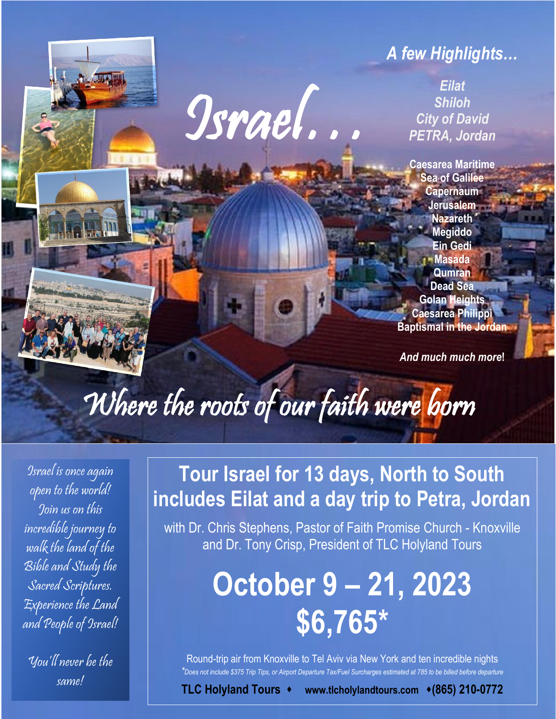## *A few Highlights…*

*Eilat Shiloh City of David PETRA, Jordan*

**Caesarea Maritime Sea of Galilee Capernaum Jerusalem Nazareth Megiddo Ein Gedi Masada Qumran Dead Sea Golan Heights Caesarea Philippi Baptismal in the Jordan**

*And much much more***!**

# Where the roots of our faith were born

I

Israel…

Israel is once again open to the world! Join us on this incredible journey to walk the land of the Bible and Study the Sacred Scriptures. Experience the Land and People of Israel!

 $\sqrt{2}$ 

You'll never be the same!

## **Tour Israel for 13 days, North to South includes Eilat and a day trip to Petra, Jordan**

with Dr. Chris Stephens, Pastor of Faith Promise Church - Knoxville and Dr. Tony Crisp, President of TLC Holyland Tours

## **October 9 – 21, 2023 \$6,765\***

Round-trip air from Knoxville to Tel Aviv via New York and ten incredible nights *\*Does not include \$375 Trip Tips, or Airport Departure Tax/Fuel Surcharges estimated at 785 to be billed before departure*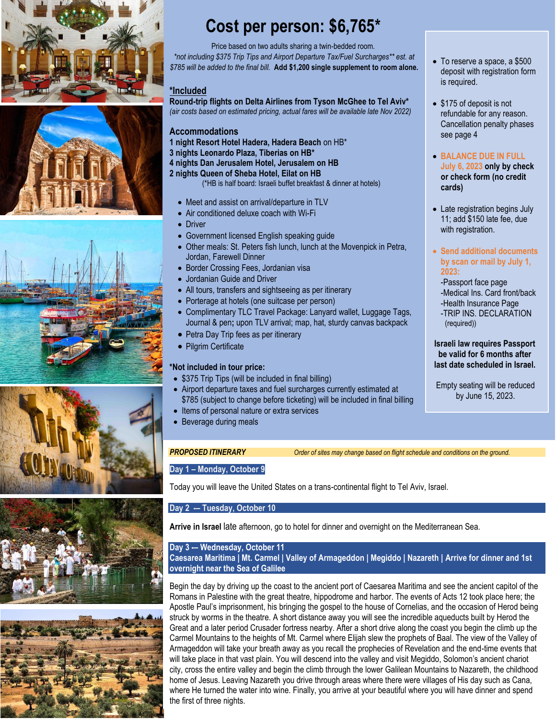











## **Cost per person: \$6,765\***

Price based on two adults sharing a twin-bedded room. *\*not including \$375 Trip Tips and Airport Departure Tax/Fuel Surcharges\*\* est. at \$785 will be added to the final bill.* **Add \$1,200 single supplement to room alone.**

#### **\*Included**

**Round-trip flights on Delta Airlines from Tyson McGhee to Tel Aviv\*** *(air costs based on estimated pricing, actual fares will be available late Nov 2022)*

#### **Accommodations**

- **1 night Resort Hotel Hadera, Hadera Beach** on HB\*
- **3 nights Leonardo Plaza, Tiberias on HB\***
- **4 nights Dan Jerusalem Hotel, Jerusalem on HB**
- **2 nights Queen of Sheba Hotel, Eilat on HB**
	- (\*HB is half board: Israeli buffet breakfast & dinner at hotels)
	- Meet and assist on arrival/departure in TLV
	- Air conditioned deluxe coach with Wi-Fi
	- Driver
	- Government licensed English speaking guide
	- Other meals: St. Peters fish lunch, lunch at the Movenpick in Petra, Jordan, Farewell Dinner
	- Border Crossing Fees, Jordanian visa
	- Jordanian Guide and Driver
	- All tours, transfers and sightseeing as per itinerary
	- Porterage at hotels (one suitcase per person)
- Complimentary TLC Travel Package: Lanyard wallet, Luggage Tags, Journal & pen**;** upon TLV arrival; map, hat, sturdy canvas backpack
- Petra Day Trip fees as per itinerary
- Pilgrim Certificate

#### **\*Not included in tour price:**

- \$375 Trip Tips (will be included in final billing)
- Airport departure taxes and fuel surcharges currently estimated at \$785 (subject to change before ticketing) will be included in final billing
- Items of personal nature or extra services
- Beverage during meals

*PROPOSED ITINERARY Order of sites may change based on flight schedule and conditions on the ground.*

#### **Day 1 – Monday, October 9**

Today you will leave the United States on a trans-continental flight to Tel Aviv, Israel.

#### **Day 2 -– Tuesday, October 10**

**Arrive in Israel** late afternoon, go to hotel for dinner and overnight on the Mediterranean Sea.

### **Day 3 -– Wednesday, October 11**

**Caesarea Maritima | Mt. Carmel | Valley of Armageddon | Megiddo | Nazareth | Arrive for dinner and 1st overnight near the Sea of Galilee**

Begin the day by driving up the coast to the ancient port of Caesarea Maritima and see the ancient capitol of the Romans in Palestine with the great theatre, hippodrome and harbor. The events of Acts 12 took place here; the Apostle Paul's imprisonment, his bringing the gospel to the house of Cornelias, and the occasion of Herod being struck by worms in the theatre. A short distance away you will see the incredible aqueducts built by Herod the Great and a later period Crusader fortress nearby. After a short drive along the coast you begin the climb up the Carmel Mountains to the heights of Mt. Carmel where Elijah slew the prophets of Baal. The view of the Valley of Armageddon will take your breath away as you recall the prophecies of Revelation and the end-time events that will take place in that vast plain. You will descend into the valley and visit Megiddo, Solomon's ancient chariot city, cross the entire valley and begin the climb through the lower Galilean Mountains to Nazareth, the childhood home of Jesus. Leaving Nazareth you drive through areas where there were villages of His day such as Cana, where He turned the water into wine. Finally, you arrive at your beautiful where you will have dinner and spend the first of three nights.

- To reserve a space, a \$500 deposit with registration form is required.
- \$175 of deposit is not refundable for any reason. Cancellation penalty phases see page 4
- **BALANCE DUE IN FULL July 6, 2023 only by check or check form (no credit cards)**
- Late registration begins July 11; add \$150 late fee, due with registration.
- **Send additional documents by scan or mail by July 1, 2023:**

-Passport face page -Medical Ins. Card front/back -Health Insurance Page -TRIP INS. DECLARATION

(required))

**Israeli law requires Passport be valid for 6 months after last date scheduled in Israel.**

Empty seating will be reduced by June 15, 2023.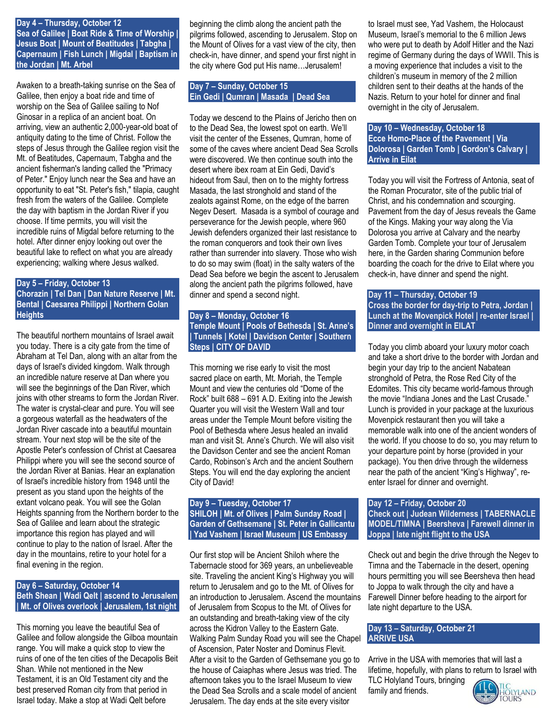#### **Day 4 – Thursday, October 12**

**Sea of Galilee | Boat Ride & Time of Worship | Jesus Boat | Mount of Beatitudes | Tabgha | Capernaum | Fish Lunch | Migdal | Baptism in the Jordan | Mt. Arbel** 

Awaken to a breath-taking sunrise on the Sea of Galilee, then enjoy a boat ride and time of worship on the Sea of Galilee sailing to Nof Ginosar in a replica of an ancient boat. On arriving, view an authentic 2,000-year-old boat of antiquity dating to the time of Christ. Follow the steps of Jesus through the Galilee region visit the Mt. of Beatitudes, Capernaum, Tabgha and the ancient fisherman's landing called the "Primacy of Peter." Enjoy lunch near the Sea and have an opportunity to eat "St. Peter's fish," tilapia, caught fresh from the waters of the Galilee. Complete the day with baptism in the Jordan River if you choose. If time permits, you will visit the incredible ruins of Migdal before returning to the hotel. After dinner enjoy looking out over the beautiful lake to reflect on what you are already experiencing; walking where Jesus walked.

#### **Day 5 – Friday, October 13 Chorazin | Tel Dan | Dan Nature Reserve | Mt. Bental | Caesarea Philippi | Northern Golan Heights**

The beautiful northern mountains of Israel await you today. There is a city gate from the time of Abraham at Tel Dan, along with an altar from the days of Israel's divided kingdom. Walk through an incredible nature reserve at Dan where you will see the beginnings of the Dan River, which joins with other streams to form the Jordan River. The water is crystal-clear and pure. You will see a gorgeous waterfall as the headwaters of the Jordan River cascade into a beautiful mountain stream. Your next stop will be the site of the Apostle Peter's confession of Christ at Caesarea Philippi where you will see the second source of the Jordan River at Banias. Hear an explanation of Israel's incredible history from 1948 until the present as you stand upon the heights of the extant volcano peak. You will see the Golan Heights spanning from the Northern border to the Sea of Galilee and learn about the strategic importance this region has played and will continue to play to the nation of Israel. After the day in the mountains, retire to your hotel for a final evening in the region.

#### **Day 6 – Saturday, October 14 Beth Shean | Wadi Qelt | ascend to Jerusalem | Mt. of Olives overlook | Jerusalem, 1st night**

This morning you leave the beautiful Sea of Galilee and follow alongside the Gilboa mountain range. You will make a quick stop to view the ruins of one of the ten cities of the Decapolis Beit Shan. While not mentioned in the New Testament, it is an Old Testament city and the best preserved Roman city from that period in Israel today. Make a stop at Wadi Qelt before

beginning the climb along the ancient path the pilgrims followed, ascending to Jerusalem. Stop on the Mount of Olives for a vast view of the city, then check-in, have dinner, and spend your first night in the city where God put His name…Jerusalem!

#### **Day 7 – Sunday, October 15 Ein Gedi | Qumran | Masada | Dead Sea**

Today we descend to the Plains of Jericho then on to the Dead Sea, the lowest spot on earth. We'll visit the center of the Essenes, Qumran, home of some of the caves where ancient Dead Sea Scrolls were discovered. We then continue south into the desert where ibex roam at Ein Gedi, David's hideout from Saul, then on to the mighty fortress Masada, the last stronghold and stand of the zealots against Rome, on the edge of the barren Negev Desert. Masada is a symbol of courage and perseverance for the Jewish people, where 960 Jewish defenders organized their last resistance to the roman conquerors and took their own lives rather than surrender into slavery. Those who wish to do so may swim (float) in the salty waters of the Dead Sea before we begin the ascent to Jerusalem along the ancient path the pilgrims followed, have dinner and spend a second night.

#### **Day 8 – Monday, October 16 Temple Mount | Pools of Bethesda | St. Anne's | Tunnels | Kotel | Davidson Center | Southern Steps | CITY OF DAVID**

This morning we rise early to visit the most sacred place on earth, Mt. Moriah, the Temple Mount and view the centuries old "Dome of the Rock" built 688 – 691 A.D. Exiting into the Jewish Quarter you will visit the Western Wall and tour areas under the Temple Mount before visiting the Pool of Bethesda where Jesus healed an invalid man and visit St. Anne's Church. We will also visit the Davidson Center and see the ancient Roman Cardo, Robinson's Arch and the ancient Southern Steps. You will end the day exploring the ancient City of David!

#### **Day 9 – Tuesday, October 17 SHILOH | Mt. of Olives | Palm Sunday Road | Garden of Gethsemane | St. Peter in Gallicantu | Yad Vashem | Israel Museum | US Embassy**

Our first stop will be Ancient Shiloh where the Tabernacle stood for 369 years, an unbelieveable site. Traveling the ancient King's Highway you will return to Jerusalem and go to the Mt. of Olives for an introduction to Jerusalem. Ascend the mountains of Jerusalem from Scopus to the Mt. of Olives for an outstanding and breath-taking view of the city across the Kidron Valley to the Eastern Gate. Walking Palm Sunday Road you will see the Chapel of Ascension, Pater Noster and Dominus Flevit. After a visit to the Garden of Gethsemane you go to the house of Caiaphas where Jesus was tried. The afternoon takes you to the Israel Museum to view the Dead Sea Scrolls and a scale model of ancient Jerusalem. The day ends at the site every visitor

to Israel must see, Yad Vashem, the Holocaust Museum, Israel's memorial to the 6 million Jews who were put to death by Adolf Hitler and the Nazi regime of Germany during the days of WWII. This is a moving experience that includes a visit to the children's museum in memory of the 2 million children sent to their deaths at the hands of the Nazis. Return to your hotel for dinner and final overnight in the city of Jerusalem.

#### **Day 10 – Wednesday, October 18 Ecce Homo-Place of the Pavement | Via Dolorosa | Garden Tomb | Gordon's Calvary | Arrive in Eilat**

Today you will visit the Fortress of Antonia, seat of the Roman Procurator, site of the public trial of Christ, and his condemnation and scourging. Pavement from the day of Jesus reveals the Game of the Kings. Making your way along the Via Dolorosa you arrive at Calvary and the nearby Garden Tomb. Complete your tour of Jerusalem here, in the Garden sharing Communion before boarding the coach for the drive to Eilat where you check-in, have dinner and spend the night.

#### **Day 11 – Thursday, October 19 Cross the border for day-trip to Petra, Jordan | Lunch at the Movenpick Hotel | re-enter Israel | Dinner and overnight in EILAT**

Today you climb aboard your luxury motor coach and take a short drive to the border with Jordan and begin your day trip to the ancient Nabatean stronghold of Petra, the Rose Red City of the Edomites. This city became world-famous through the movie "Indiana Jones and the Last Crusade." Lunch is provided in your package at the luxurious Movenpick restaurant then you will take a memorable walk into one of the ancient wonders of the world. If you choose to do so, you may return to your departure point by horse (provided in your package). You then drive through the wilderness near the path of the ancient "King's Highway", reenter Israel for dinner and overnight.

#### **Day 12 – Friday, October 20 Check out | Judean Wilderness | TABERNACLE MODEL/TIMNA | Beersheva | Farewell dinner in Joppa | late night flight to the USA**

Check out and begin the drive through the Negev to Timna and the Tabernacle in the desert, opening hours permitting you will see Beersheva then head to Joppa to walk through the city and have a Farewell Dinner before heading to the airport for late night departure to the USA.

#### **Day 13 – Saturday, October 21 ARRIVE USA**

Arrive in the USA with memories that will last a lifetime, hopefully, with plans to return to Israel with

TLC Holyland Tours, bringing family and friends.